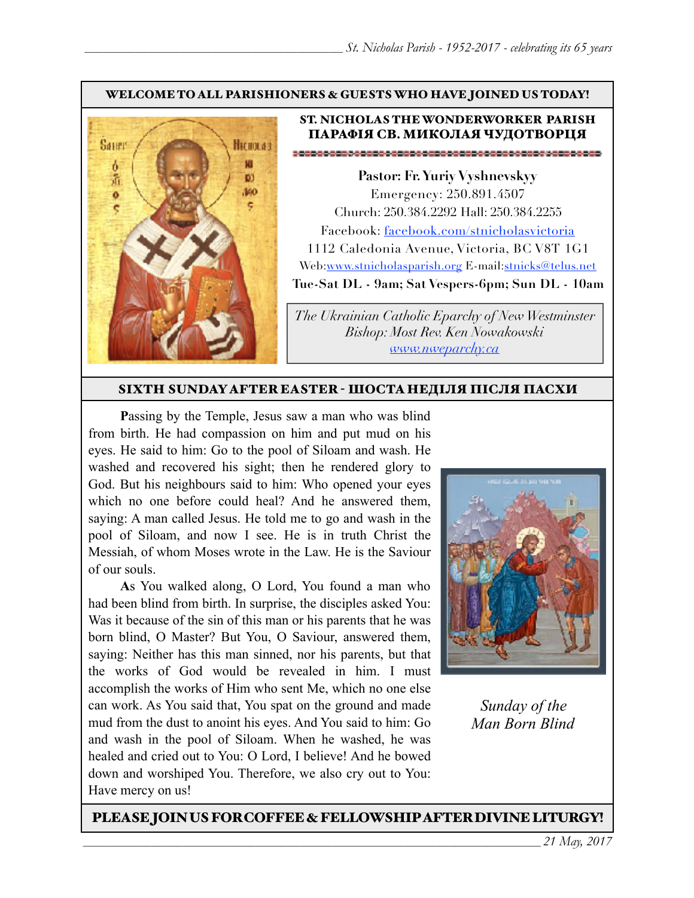#### WELCOME TO ALL PARISHIONERS & GUESTS WHO HAVE JOINED US TODAY!



#### ST. NICHOLAS THE WONDERWORKER PARISH ПАРАФІЯ СВ. МИКОЛАЯ ЧУДОТВОРЦЯ

**Pastor: Fr. Yuriy Vyshnevskyy** Emergency: 250.891.4507 Church: 250.384.2292 Hall: 250.384.2255 Facebook: facebook.com/stnicholasvictoria 1112 Caledonia Avenue, Victoria, BC V8T 1G1 Web[:www.stnicholasparish.org](http://www.stnicholasparish.org) E-mail:[stnicks@telus.net](mailto:stnicks@telus.net) **Tue-Sat DL - 9am; Sat Vespers-6pm; Sun DL - 10am**

*The Ukrainian Catholic Eparchy of New Westminster Bishop: Most Rev. Ken Nowakowski [www.nweparchy.ca](http://www.nweparchy.ca)*

#### SIXTH SUNDAY AFTER EASTER - ШОСТАНЕДІЛЯ ПІСЛЯ ПАСХИ

**P**assing by the Temple, Jesus saw a man who was blind from birth. He had compassion on him and put mud on his eyes. He said to him: Go to the pool of Siloam and wash. He washed and recovered his sight; then he rendered glory to God. But his neighbours said to him: Who opened your eyes which no one before could heal? And he answered them, saying: A man called Jesus. He told me to go and wash in the pool of Siloam, and now I see. He is in truth Christ the Messiah, of whom Moses wrote in the Law. He is the Saviour of our souls.

**A**s You walked along, O Lord, You found a man who had been blind from birth. In surprise, the disciples asked You: Was it because of the sin of this man or his parents that he was born blind, O Master? But You, O Saviour, answered them, saying: Neither has this man sinned, nor his parents, but that the works of God would be revealed in him. I must accomplish the works of Him who sent Me, which no one else can work. As You said that, You spat on the ground and made mud from the dust to anoint his eyes. And You said to him: Go and wash in the pool of Siloam. When he washed, he was healed and cried out to You: O Lord, I believe! And he bowed down and worshiped You. Therefore, we also cry out to You: Have mercy on us!



*Sunday of the Man Born Blind*

#### PLEASE JOIN US FOR COFFEE & FELLOWSHIP AFTER DIVINE LITURGY!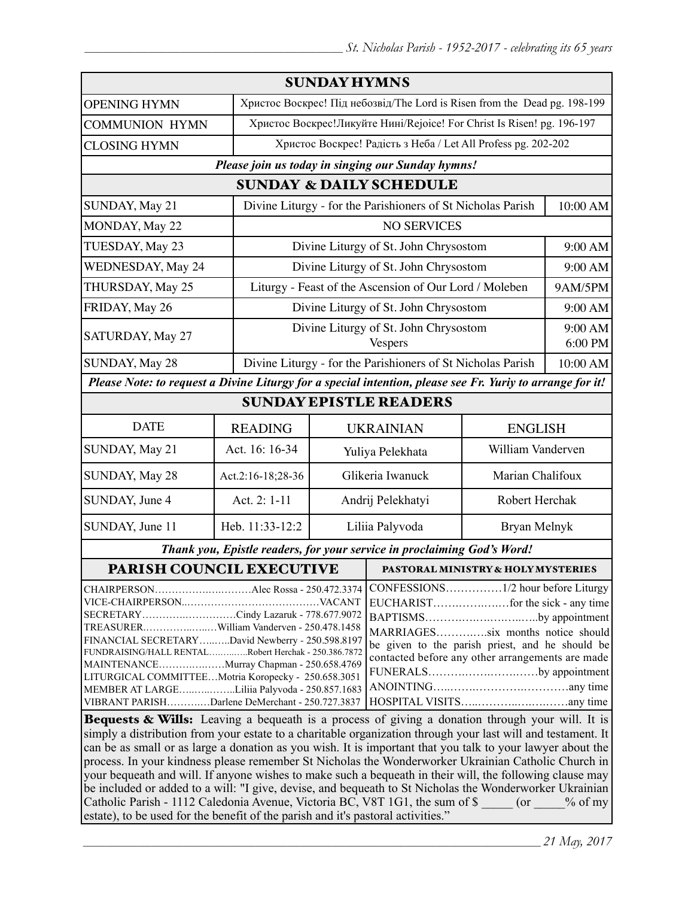| <b>SUNDAY HYMNS</b>                                                                                                                                                                                                                                                                                                                                                                                                                                                                                                                                |                   |                                                                         |                                                                           |                   |                    |  |
|----------------------------------------------------------------------------------------------------------------------------------------------------------------------------------------------------------------------------------------------------------------------------------------------------------------------------------------------------------------------------------------------------------------------------------------------------------------------------------------------------------------------------------------------------|-------------------|-------------------------------------------------------------------------|---------------------------------------------------------------------------|-------------------|--------------------|--|
| <b>OPENING HYMN</b>                                                                                                                                                                                                                                                                                                                                                                                                                                                                                                                                |                   |                                                                         | Христос Воскрес! Під небозвід/The Lord is Risen from the Dead pg. 198-199 |                   |                    |  |
| <b>COMMUNION HYMN</b>                                                                                                                                                                                                                                                                                                                                                                                                                                                                                                                              |                   | Христос Воскрес! Ликуйте Нині/Rejoice! For Christ Is Risen! pg. 196-197 |                                                                           |                   |                    |  |
| <b>CLOSING HYMN</b>                                                                                                                                                                                                                                                                                                                                                                                                                                                                                                                                |                   |                                                                         | Христос Воскрес! Радість з Неба / Let All Profess pg. 202-202             |                   |                    |  |
| Please join us today in singing our Sunday hymns!                                                                                                                                                                                                                                                                                                                                                                                                                                                                                                  |                   |                                                                         |                                                                           |                   |                    |  |
| <b>SUNDAY &amp; DAILY SCHEDULE</b>                                                                                                                                                                                                                                                                                                                                                                                                                                                                                                                 |                   |                                                                         |                                                                           |                   |                    |  |
| SUNDAY, May 21                                                                                                                                                                                                                                                                                                                                                                                                                                                                                                                                     |                   | Divine Liturgy - for the Parishioners of St Nicholas Parish             |                                                                           | 10:00 AM          |                    |  |
| MONDAY, May 22                                                                                                                                                                                                                                                                                                                                                                                                                                                                                                                                     |                   |                                                                         | <b>NO SERVICES</b>                                                        |                   |                    |  |
| TUESDAY, May 23                                                                                                                                                                                                                                                                                                                                                                                                                                                                                                                                    |                   | Divine Liturgy of St. John Chrysostom                                   |                                                                           | 9:00 AM           |                    |  |
| <b>WEDNESDAY, May 24</b>                                                                                                                                                                                                                                                                                                                                                                                                                                                                                                                           |                   |                                                                         | Divine Liturgy of St. John Chrysostom                                     |                   | 9:00 AM            |  |
| THURSDAY, May 25                                                                                                                                                                                                                                                                                                                                                                                                                                                                                                                                   |                   |                                                                         | Liturgy - Feast of the Ascension of Our Lord / Moleben                    |                   | 9AM/5PM            |  |
| FRIDAY, May 26                                                                                                                                                                                                                                                                                                                                                                                                                                                                                                                                     |                   |                                                                         | Divine Liturgy of St. John Chrysostom                                     |                   | 9:00 AM            |  |
| SATURDAY, May 27                                                                                                                                                                                                                                                                                                                                                                                                                                                                                                                                   |                   |                                                                         | Divine Liturgy of St. John Chrysostom<br><b>Vespers</b>                   |                   | 9:00 AM<br>6:00 PM |  |
| SUNDAY, May 28                                                                                                                                                                                                                                                                                                                                                                                                                                                                                                                                     |                   |                                                                         | Divine Liturgy - for the Parishioners of St Nicholas Parish               |                   | 10:00 AM           |  |
| Please Note: to request a Divine Liturgy for a special intention, please see Fr. Yuriy to arrange for it!                                                                                                                                                                                                                                                                                                                                                                                                                                          |                   |                                                                         |                                                                           |                   |                    |  |
| <b>SUNDAY EPISTLE READERS</b>                                                                                                                                                                                                                                                                                                                                                                                                                                                                                                                      |                   |                                                                         |                                                                           |                   |                    |  |
| <b>DATE</b>                                                                                                                                                                                                                                                                                                                                                                                                                                                                                                                                        | <b>READING</b>    | <b>UKRAINIAN</b>                                                        |                                                                           | <b>ENGLISH</b>    |                    |  |
| SUNDAY, May 21                                                                                                                                                                                                                                                                                                                                                                                                                                                                                                                                     | Act. 16: 16-34    | Yuliya Pelekhata                                                        |                                                                           | William Vanderven |                    |  |
| SUNDAY, May 28                                                                                                                                                                                                                                                                                                                                                                                                                                                                                                                                     | Act.2:16-18;28-36 | Glikeria Iwanuck                                                        |                                                                           | Marian Chalifoux  |                    |  |
| SUNDAY, June 4                                                                                                                                                                                                                                                                                                                                                                                                                                                                                                                                     | Act. 2: 1-11      | Andrij Pelekhatyi                                                       |                                                                           | Robert Herchak    |                    |  |
| SUNDAY, June 11                                                                                                                                                                                                                                                                                                                                                                                                                                                                                                                                    | Heb. 11:33-12:2   | Liliia Palyvoda                                                         |                                                                           | Bryan Melnyk      |                    |  |
| Thank you, Epistle readers, for your service in proclaiming God's Word!                                                                                                                                                                                                                                                                                                                                                                                                                                                                            |                   |                                                                         |                                                                           |                   |                    |  |
| <b>PARISH COUNCIL EXECUTIVE</b>                                                                                                                                                                                                                                                                                                                                                                                                                                                                                                                    |                   |                                                                         | <b>PASTORAL MINISTRY &amp; HOLY MYSTERIES</b>                             |                   |                    |  |
| SECRETARYCindy Lazaruk - 778.677.9072<br>BAPTISMSby appointment<br>TREASURERWilliam Vanderven - 250.478.1458<br>MARRIAGESsix months notice should<br>FINANCIAL SECRETARYDavid Newberry - 250.598.8197<br>be given to the parish priest, and he should be<br>FUNDRAISING/HALL RENTALRobert Herchak - 250.386.7872<br>contacted before any other arrangements are made<br>MAINTENANCEMurray Chapman - 250.658.4769<br>FUNERALSby appointment<br>LITURGICAL COMMITTEEMotria Koropecky - 250.658.3051<br>MEMBER AT LARGELiliia Palyvoda - 250.857.1683 |                   |                                                                         |                                                                           |                   |                    |  |
| VIBRANT PARISHDarlene DeMerchant - 250.727.3837                                                                                                                                                                                                                                                                                                                                                                                                                                                                                                    |                   |                                                                         |                                                                           |                   |                    |  |
| <b>Bequests &amp; Wills:</b> Leaving a bequeath is a process of giving a donation through your will. It is                                                                                                                                                                                                                                                                                                                                                                                                                                         |                   |                                                                         |                                                                           |                   |                    |  |

simply a distribution from your estate to a charitable organization through your last will and testament. It can be as small or as large a donation as you wish. It is important that you talk to your lawyer about the process. In your kindness please remember St Nicholas the Wonderworker Ukrainian Catholic Church in your bequeath and will. If anyone wishes to make such a bequeath in their will, the following clause may be included or added to a will: "I give, devise, and bequeath to St Nicholas the Wonderworker Ukrainian Catholic Parish - 1112 Caledonia Avenue, Victoria BC, V8T 1G1, the sum of \$  $\qquad \qquad$  (or  $\qquad \qquad$  % of my estate), to be used for the benefit of the parish and it's pastoral activities."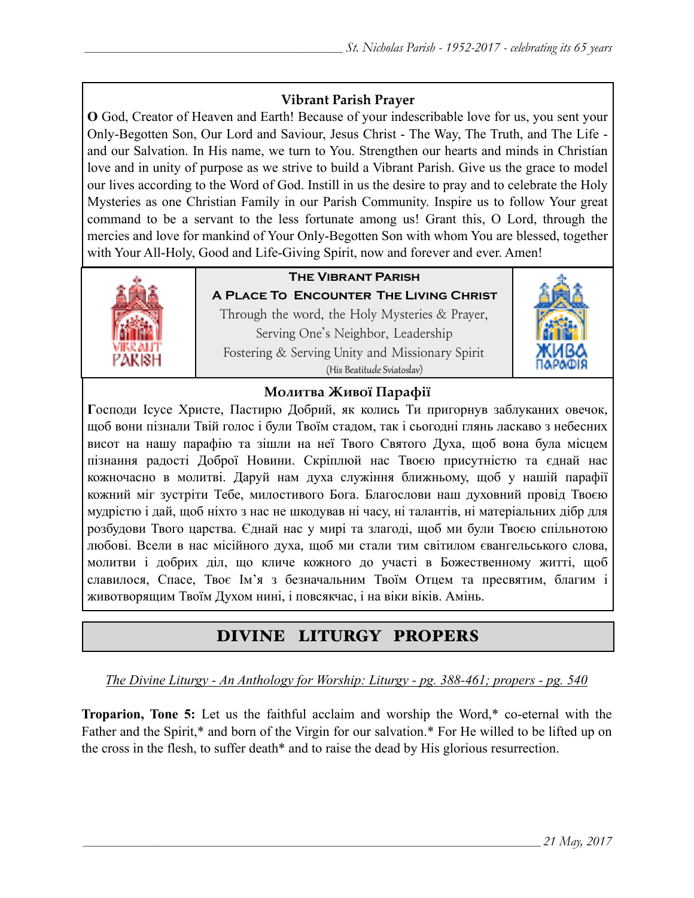### **Vibrant Parish Prayer**

**O** God, Creator of Heaven and Earth! Because of your indescribable love for us, you sent your Only-Begotten Son, Our Lord and Saviour, Jesus Christ - The Way, The Truth, and The Life and our Salvation. In His name, we turn to You. Strengthen our hearts and minds in Christian love and in unity of purpose as we strive to build a Vibrant Parish. Give us the grace to model our lives according to the Word of God. Instill in us the desire to pray and to celebrate the Holy Mysteries as one Christian Family in our Parish Community. Inspire us to follow Your great command to be a servant to the less fortunate among us! Grant this, O Lord, through the mercies and love for mankind of Your Only-Begotten Son with whom You are blessed, together with Your All-Holy, Good and Life-Giving Spirit, now and forever and ever. Amen!



### **The Vibrant Parish**

**A Place To Encounter The Living Christ** Through the word, the Holy Mysteries & Prayer, Serving One's Neighbor, Leadership Fostering & Serving Unity and Missionary Spirit (His Beatitude Sviatoslav)



### **Молитва Живої Парафії**

**Г**осподи Ісусе Христе, Пастирю Добрий, як колись Ти пригорнув заблуканих овечок, щоб вони пізнали Твій голос і були Твоїм стадом, так і сьогодні глянь ласкаво з небесних висот на нашу парафію та зішли на неї Твого Святого Духа, щоб вона була місцем пізнання радості Доброї Новини. Скріплюй нас Твоєю присутністю та єднай нас кожночасно в молитві. Даруй нам духа служіння ближньому, щоб у нашій парафії кожний міг зустріти Тебе, милостивого Бога. Благослови наш духовний провід Твоєю мудрістю і дай, щоб ніхто з нас не шкодував ні часу, ні талантів, ні матеріальних дібр для розбудови Твого царства. Єднай нас у мирі та злагоді, щоб ми були Твоєю спільнотою любові. Всели в нас місійного духа, щоб ми стали тим світилом євангельського слова, молитви і добрих діл, що кличе кожного до участі в Божественному житті, щоб славилося, Спасе, Твоє Ім'я з безначальним Твоїм Отцем та пресвятим, благим і животворящим Твоїм Духом нині, і повсякчас, і на віки віків. Амінь.

# DIVINE LITURGY PROPERS

*The Divine Liturgy - An Anthology for Worship: Liturgy - pg. 388-461; propers - pg. 540*

**Troparion, Tone 5:** Let us the faithful acclaim and worship the Word,\* co-eternal with the Father and the Spirit,\* and born of the Virgin for our salvation.\* For He willed to be lifted up on the cross in the flesh, to suffer death\* and to raise the dead by His glorious resurrection.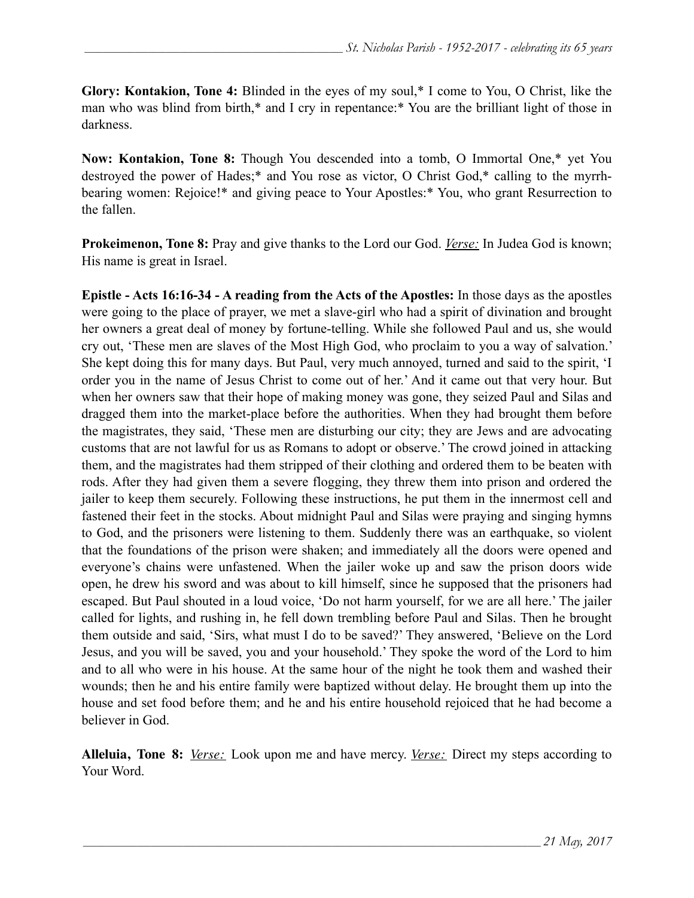**Glory: Kontakion, Tone 4:** Blinded in the eyes of my soul,\* I come to You, O Christ, like the man who was blind from birth,\* and I cry in repentance:\* You are the brilliant light of those in darkness.

**Now: Kontakion, Tone 8:** Though You descended into a tomb, O Immortal One,\* yet You destroyed the power of Hades;\* and You rose as victor, O Christ God,\* calling to the myrrhbearing women: Rejoice!\* and giving peace to Your Apostles:\* You, who grant Resurrection to the fallen.

**Prokeimenon, Tone 8:** Pray and give thanks to the Lord our God. *Verse:* In Judea God is known; His name is great in Israel.

**Epistle - Acts 16:16-34 - A reading from the Acts of the Apostles:** In those days as the apostles were going to the place of prayer, we met a slave-girl who had a spirit of divination and brought her owners a great deal of money by fortune-telling. While she followed Paul and us, she would cry out, 'These men are slaves of the Most High God, who proclaim to you a way of salvation.' She kept doing this for many days. But Paul, very much annoyed, turned and said to the spirit, 'I order you in the name of Jesus Christ to come out of her.' And it came out that very hour. But when her owners saw that their hope of making money was gone, they seized Paul and Silas and dragged them into the market-place before the authorities. When they had brought them before the magistrates, they said, 'These men are disturbing our city; they are Jews and are advocating customs that are not lawful for us as Romans to adopt or observe.' The crowd joined in attacking them, and the magistrates had them stripped of their clothing and ordered them to be beaten with rods. After they had given them a severe flogging, they threw them into prison and ordered the jailer to keep them securely. Following these instructions, he put them in the innermost cell and fastened their feet in the stocks. About midnight Paul and Silas were praying and singing hymns to God, and the prisoners were listening to them. Suddenly there was an earthquake, so violent that the foundations of the prison were shaken; and immediately all the doors were opened and everyone's chains were unfastened. When the jailer woke up and saw the prison doors wide open, he drew his sword and was about to kill himself, since he supposed that the prisoners had escaped. But Paul shouted in a loud voice, 'Do not harm yourself, for we are all here.' The jailer called for lights, and rushing in, he fell down trembling before Paul and Silas. Then he brought them outside and said, 'Sirs, what must I do to be saved?' They answered, 'Believe on the Lord Jesus, and you will be saved, you and your household.' They spoke the word of the Lord to him and to all who were in his house. At the same hour of the night he took them and washed their wounds; then he and his entire family were baptized without delay. He brought them up into the house and set food before them; and he and his entire household rejoiced that he had become a believer in God.

**Alleluia, Tone 8:** *Verse:* Look upon me and have mercy. *Verse:* Direct my steps according to Your Word.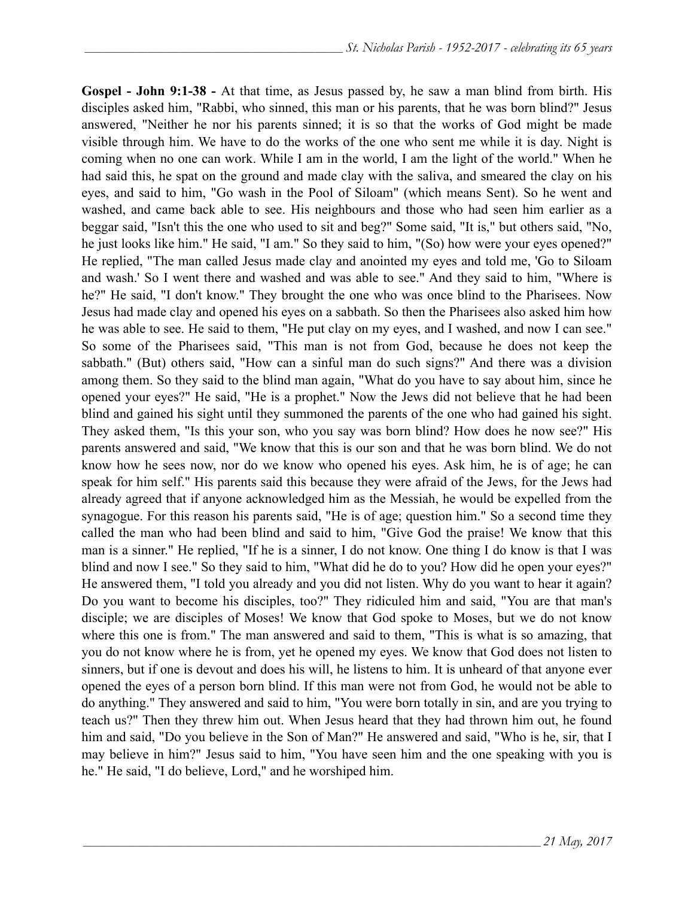**Gospel - John 9:1-38 -** At that time, as Jesus passed by, he saw a man blind from birth. His disciples asked him, "Rabbi, who sinned, this man or his parents, that he was born blind?" Jesus answered, "Neither he nor his parents sinned; it is so that the works of God might be made visible through him. We have to do the works of the one who sent me while it is day. Night is coming when no one can work. While I am in the world, I am the light of the world." When he had said this, he spat on the ground and made clay with the saliva, and smeared the clay on his eyes, and said to him, "Go wash in the Pool of Siloam" (which means Sent). So he went and washed, and came back able to see. His neighbours and those who had seen him earlier as a beggar said, "Isn't this the one who used to sit and beg?" Some said, "It is," but others said, "No, he just looks like him." He said, "I am." So they said to him, "(So) how were your eyes opened?" He replied, "The man called Jesus made clay and anointed my eyes and told me, 'Go to Siloam and wash.' So I went there and washed and was able to see." And they said to him, "Where is he?" He said, "I don't know." They brought the one who was once blind to the Pharisees. Now Jesus had made clay and opened his eyes on a sabbath. So then the Pharisees also asked him how he was able to see. He said to them, "He put clay on my eyes, and I washed, and now I can see." So some of the Pharisees said, "This man is not from God, because he does not keep the sabbath." (But) others said, "How can a sinful man do such signs?" And there was a division among them. So they said to the blind man again, "What do you have to say about him, since he opened your eyes?" He said, "He is a prophet." Now the Jews did not believe that he had been blind and gained his sight until they summoned the parents of the one who had gained his sight. They asked them, "Is this your son, who you say was born blind? How does he now see?" His parents answered and said, "We know that this is our son and that he was born blind. We do not know how he sees now, nor do we know who opened his eyes. Ask him, he is of age; he can speak for him self." His parents said this because they were afraid of the Jews, for the Jews had already agreed that if anyone acknowledged him as the Messiah, he would be expelled from the synagogue. For this reason his parents said, "He is of age; question him." So a second time they called the man who had been blind and said to him, "Give God the praise! We know that this man is a sinner." He replied, "If he is a sinner, I do not know. One thing I do know is that I was blind and now I see." So they said to him, "What did he do to you? How did he open your eyes?" He answered them, "I told you already and you did not listen. Why do you want to hear it again? Do you want to become his disciples, too?" They ridiculed him and said, "You are that man's disciple; we are disciples of Moses! We know that God spoke to Moses, but we do not know where this one is from." The man answered and said to them, "This is what is so amazing, that you do not know where he is from, yet he opened my eyes. We know that God does not listen to sinners, but if one is devout and does his will, he listens to him. It is unheard of that anyone ever opened the eyes of a person born blind. If this man were not from God, he would not be able to do anything." They answered and said to him, "You were born totally in sin, and are you trying to teach us?" Then they threw him out. When Jesus heard that they had thrown him out, he found him and said, "Do you believe in the Son of Man?" He answered and said, "Who is he, sir, that I may believe in him?" Jesus said to him, "You have seen him and the one speaking with you is he." He said, "I do believe, Lord," and he worshiped him.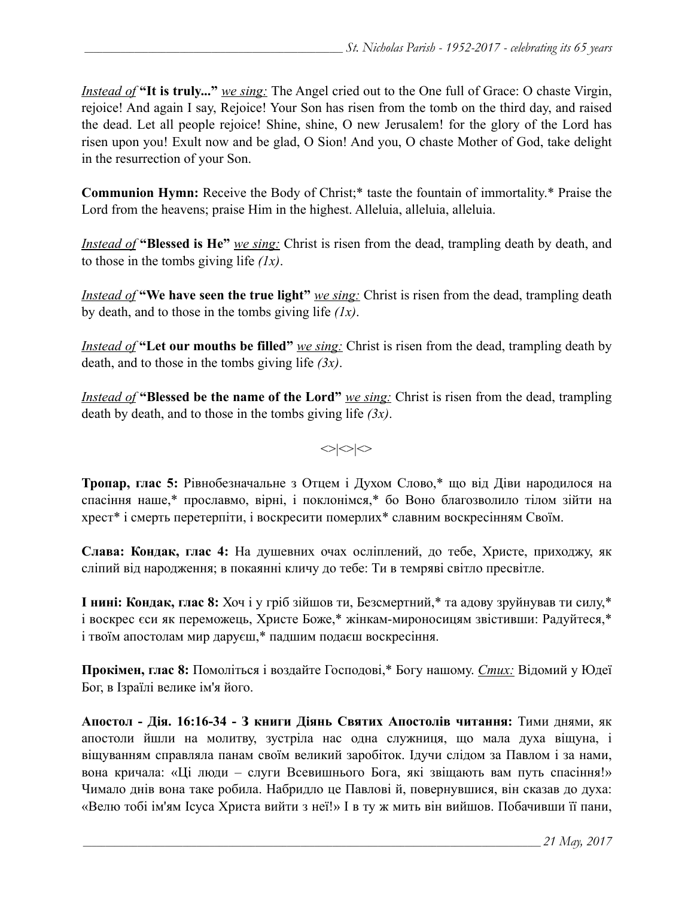*Instead of* **"It is truly..."** *we sing:* The Angel cried out to the One full of Grace: O chaste Virgin, rejoice! And again I say, Rejoice! Your Son has risen from the tomb on the third day, and raised the dead. Let all people rejoice! Shine, shine, O new Jerusalem! for the glory of the Lord has risen upon you! Exult now and be glad, O Sion! And you, O chaste Mother of God, take delight in the resurrection of your Son.

**Communion Hymn:** Receive the Body of Christ;\* taste the fountain of immortality.\* Praise the Lord from the heavens; praise Him in the highest. Alleluia, alleluia, alleluia.

*Instead of* **"Blessed is He"** *we sing:* Christ is risen from the dead, trampling death by death, and to those in the tombs giving life *(1x)*.

*Instead of* **"We have seen the true light"** *we sing:* Christ is risen from the dead, trampling death by death, and to those in the tombs giving life *(1x)*.

*Instead of* "Let our mouths be filled" *we sing:* Christ is risen from the dead, trampling death by death, and to those in the tombs giving life *(3x)*.

*Instead of* **"Blessed be the name of the Lord"** *we sing:* Christ is risen from the dead, trampling death by death, and to those in the tombs giving life *(3x)*.



**Тропар, глас 5:** Рівнобезначальне з Отцем і Духом Слово,\* що від Діви народилося на спасіння наше,\* прославмо, вірні, і поклонімся,\* бо Воно благозволило тілом зійти на хрест\* і смерть перетерпіти, і воскресити померлих\* славним воскресінням Своїм.

**Слава: Кондак, глас 4:** На душевних очах осліплений, до тебе, Христе, приходжу, як сліпий від народження; в покаянні кличу до тебе: Ти в темряві світло пресвітле.

**І нині: Кондак, глас 8:** Хоч і у гріб зійшов ти, Безсмертний,\* та адову зруйнував ти силу,\* і воскрес єси як переможець, Христе Боже,\* жінкам-мироносицям звістивши: Радуйтеся,\* і твоїм апостолам мир даруєш,\* падшим подаєш воскресіння.

**Прокімен, глас 8:** Помоліться і воздайте Господові,\* Богу нашому. *Стих:* Відомий у Юдеї Бог, в Ізраїлі велике ім'я його.

**Апостол - Дія. 16:16-34 - З книги Діянь Святих Апостолів читання:** Тими днями, як апостоли йшли на молитву, зустріла нас одна служниця, що мала духа віщуна, і віщуванням справляла панам своїм великий заробіток. Ідучи слідом за Павлом і за нами, вона кричала: «Ці люди – слуги Всевишнього Бога, які звіщають вам путь спасіння!» Чимало днів вона таке робила. Набридло це Павлові й, повернувшися, він сказав до духа: «Велю тобі ім'ям Ісуса Христа вийти з неї!» І в ту ж мить він вийшов. Побачивши її пани,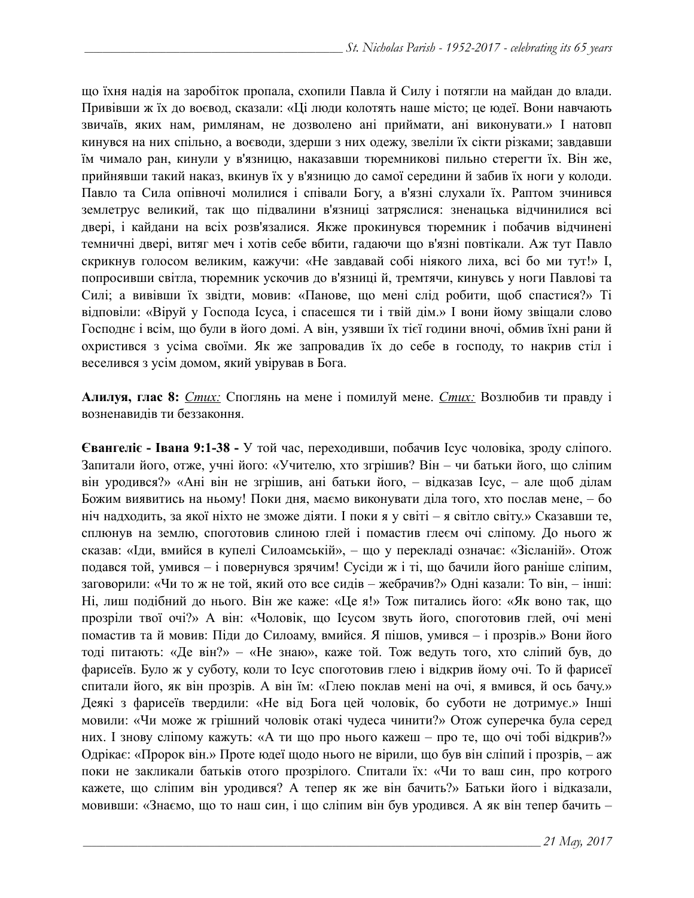що їхня надія на заробіток пропала, схопили Павла й Силу і потягли на майдан до влади. Привівши ж їх до воєвод, сказали: «Ці люди колотять наше місто; це юдеї. Вони навчають звичаїв, яких нам, римлянам, не дозволено ані приймати, ані виконувати.» І натовп кинувся на них спільно, а воєводи, здерши з них одежу, звеліли їх сікти різками; завдавши їм чимало ран, кинули у в'язницю, наказавши тюремникові пильно стерегти їх. Він же, прийнявши такий наказ, вкинув їх у в'язницю до самої середини й забив їх ноги у колоди. Павло та Сила опівночі молилися і співали Богу, а в'язні слухали їх. Раптом зчинився землетрус великий, так що підвалини в'язниці затряслися: зненацька відчинилися всі двері, і кайдани на всіх розв'язалися. Якже прокинувся тюремник і побачив відчинені темничні двері, витяг меч і хотів себе вбити, гадаючи що в'язні повтікали. Аж тут Павло скрикнув голосом великим, кажучи: «Не завдавай собі ніякого лиха, всі бо ми тут!» І, попросивши світла, тюремник ускочив до в'язниці й, тремтячи, кинувсь у ноги Павлові та Силі; а вивівши їх звідти, мовив: «Панове, що мені слід робити, щоб спастися?» Ті відповіли: «Віруй у Господа Ісуса, і спасешся ти і твій дім.» І вони йому звіщали слово Господнє і всім, що були в його домі. А він, узявши їх тієї години вночі, обмив їхні рани й охристився з усіма своїми. Як же запровадив їх до себе в господу, то накрив стіл і веселився з усім домом, який увірував в Бога.

**Алилуя, глас 8:** *Стих:* Споглянь на мене і помилуй мене. *Стих:* Возлюбив ти правду і возненавидів ти беззаконня.

**Євангеліє - Івана 9:1-38 -** У той час, переходивши, побачив Ісус чоловіка, зроду сліпого. Запитали його, отже, учні його: «Учителю, хто згрішив? Він – чи батьки його, що сліпим він уродився?» «Ані він не згрішив, ані батьки його, – відказав Ісус, – але щоб ділам Божим виявитись на ньому! Поки дня, маємо виконувати діла того, хто послав мене, – бо ніч надходить, за якої ніхто не зможе діяти. І поки я у світі – я світло світу.» Сказавши те, сплюнув на землю, споготовив слиною глей і помастив глеєм очі сліпому. До нього ж сказав: «Іди, вмийся в купелі Силоамській», – що у перекладі означає: «Зісланій». Отож подався той, умився – і повернувся зрячим! Сусіди ж і ті, що бачили його раніше сліпим, заговорили: «Чи то ж не той, який ото все сидів – жебрачив?» Одні казали: То він, – інші: Ні, лиш подібний до нього. Він же каже: «Це я!» Тож питались його: «Як воно так, що прозріли твої очі?» А він: «Чоловік, що Ісусом звуть його, споготовив глей, очі мені помастив та й мовив: Піди до Силоаму, вмийся. Я пішов, умився – і прозрів.» Вони його тоді питають: «Де він?» – «Не знаю», каже той. Тож ведуть того, хто сліпий був, до фарисеїв. Було ж у суботу, коли то Ісус споготовив глею і відкрив йому очі. То й фарисеї спитали його, як він прозрів. А він їм: «Глею поклав мені на очі, я вмився, й ось бачу.» Деякі з фарисеїв твердили: «Не від Бога цей чоловік, бо суботи не дотримує.» Інші мовили: «Чи може ж грішний чоловік отакі чудеса чинити?» Отож суперечка була серед них. І знову сліпому кажуть: «А ти що про нього кажеш – про те, що очі тобі відкрив?» Одрікає: «Пророк він.» Проте юдеї щодо нього не вірили, що був він сліпий і прозрів, – аж поки не закликали батьків отого прозрілого. Спитали їх: «Чи то ваш син, про котрого кажете, що сліпим він уродився? А тепер як же він бачить?» Батьки його і відказали, мовивши: «Знаємо, що то наш син, і що сліпим він був уродився. А як він тепер бачить –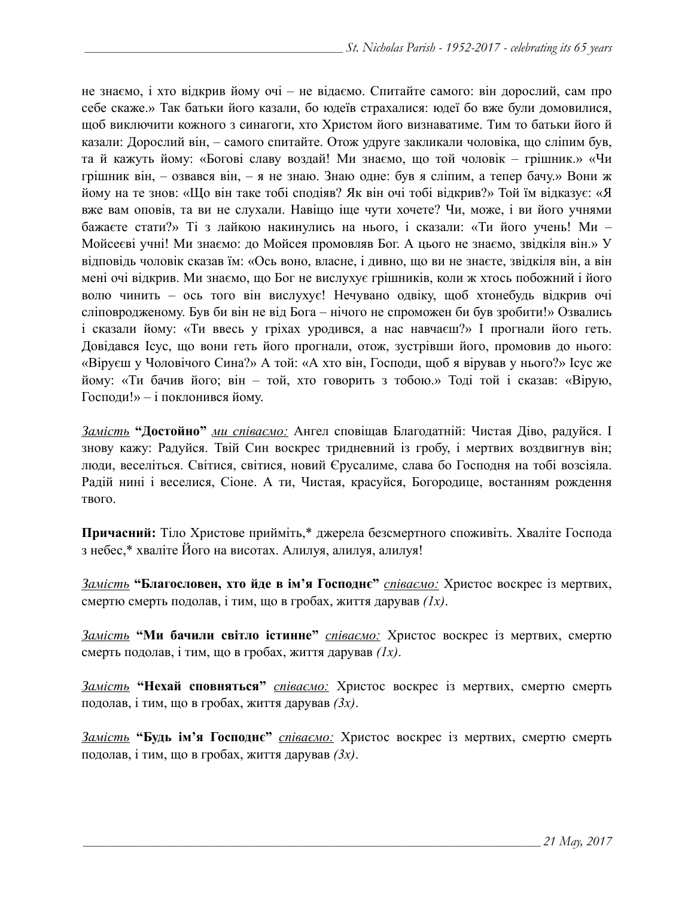не знаємо, і хто відкрив йому очі – не відаємо. Спитайте самого: він дорослий, сам про себе скаже.» Так батьки його казали, бо юдеїв страхалися: юдеї бо вже були домовилися, щоб виключити кожного з синагоги, хто Христом його визнаватиме. Тим то батьки його й казали: Дорослий він, – самого спитайте. Отож удруге закликали чоловіка, що сліпим був, та й кажуть йому: «Богові славу воздай! Ми знаємо, що той чоловік – грішник.» «Чи грішник він, – озвався він, – я не знаю. Знаю одне: був я сліпим, а тепер бачу.» Вони ж йому на те знов: «Що він таке тобі сподіяв? Як він очі тобі відкрив?» Той їм відказує: «Я вже вам оповів, та ви не слухали. Навіщо іще чути хочете? Чи, може, і ви його учнями бажаєте стати?» Ті з лайкою накинулись на нього, і сказали: «Ти його учень! Ми – Мойсеєві учні! Ми знаємо: до Мойсея промовляв Бог. А цього не знаємо, звідкіля він.» У відповідь чоловік сказав їм: «Ось воно, власне, і дивно, що ви не знаєте, звідкіля він, а він мені очі відкрив. Ми знаємо, що Бог не вислухує грішників, коли ж хтось побожний і його волю чинить – ось того він вислухує! Нечувано одвіку, щоб хтонебудь відкрив очі сліповродженому. Був би він не від Бога – нічого не спроможен би був зробити!» Озвались і сказали йому: «Ти ввесь у гріхах уродився, а нас навчаєш?» І прогнали його геть. Довідався Ісус, що вони геть його прогнали, отож, зустрівши його, промовив до нього: «Віруєш у Чоловічого Сина?» А той: «А хто він, Господи, щоб я вірував у нього?» Ісус же йому: «Ти бачив його; він – той, хто говорить з тобою.» Тоді той і сказав: «Вірую, Господи!» – і поклонився йому.

*Замість* **"Достойно"** *ми співаємо:* Ангел сповіщав Благодатній: Чистая Діво, радуйся. І знову кажу: Радуйся. Твій Син воскрес тридневний із гробу, і мертвих воздвигнув він; люди, веселіться. Світися, світися, новий Єрусалиме, слава бо Господня на тобі возсіяла. Радій нині і веселися, Сіоне. А ти, Чистая, красуйся, Богородице, востанням рождення твого.

**Причасний:** Тіло Христове прийміть,\* джерела безсмертного споживіть. Хваліте Господа з небес,\* хваліте Його на висотах. Алилуя, aлилуя, aлилуя!

*Замість* **"Благословен, хто йде в ім'я Господнє"** *співаємо:* Христос воскрес із мертвих, смертю смерть подолав, і тим, що в гробах, життя дарував *(1x)*.

*Замість* **"Ми бачили світло істинне"** *співаємо:* Христос воскрес із мертвих, смертю смерть подолав, і тим, що в гробах, життя дарував *(1x)*.

*Замість* **"Нехай сповняться"** *співаємо:* Христос воскрес із мертвих, смертю смерть подолав, і тим, що в гробах, життя дарував *(3x)*.

*Замість* **"Будь ім'я Господнє"** *співаємо:* Христос воскрес із мертвих, смертю смерть подолав, і тим, що в гробах, життя дарував *(3x)*.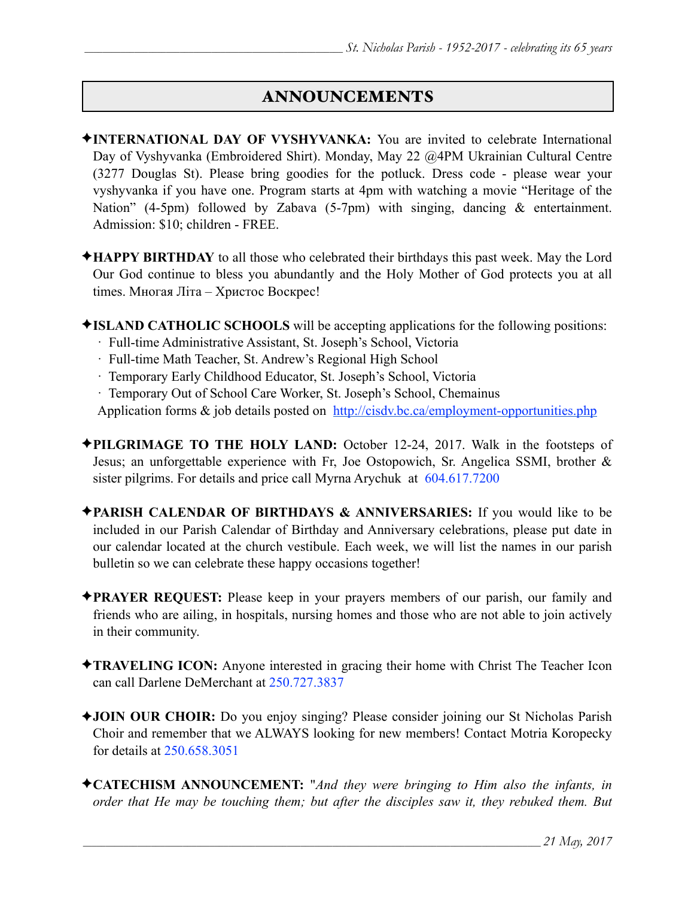### ANNOUNCEMENTS

- ✦**INTERNATIONAL DAY OF VYSHYVANKA:** You are invited to celebrate International Day of Vyshyvanka (Embroidered Shirt). Monday, May 22 @4PM Ukrainian Cultural Centre (3277 Douglas St). Please bring goodies for the potluck. Dress code - please wear your vyshyvanka if you have one. Program starts at 4pm with watching a movie "Heritage of the Nation" (4-5pm) followed by Zabava (5-7pm) with singing, dancing & entertainment. Admission: \$10; children - FREE.
- ✦**HAPPY BIRTHDAY** to all those who celebrated their birthdays this past week. May the Lord Our God continue to bless you abundantly and the Holy Mother of God protects you at all times. Многая Літа – Христос Воскрес!
- ✦**ISLAND CATHOLIC SCHOOLS** will be accepting applications for the following positions:
	- · Full-time Administrative Assistant, St. Joseph's School, Victoria
	- · Full-time Math Teacher, St. Andrew's Regional High School
	- · Temporary Early Childhood Educator, St. Joseph's School, Victoria
	- · Temporary Out of School Care Worker, St. Joseph's School, Chemainus

Application forms & job details posted on <http://cisdv.bc.ca/employment-opportunities.php>

- ✦**PILGRIMAGE TO THE HOLY LAND:** October 12-24, 2017. Walk in the footsteps of Jesus; an unforgettable experience with Fr, Joe Ostopowich, Sr. Angelica SSMI, brother & sister pilgrims. For details and price call Myrna Arychuk at 604.617.7200
- ✦**PARISH CALENDAR OF BIRTHDAYS & ANNIVERSARIES:** If you would like to be included in our Parish Calendar of Birthday and Anniversary celebrations, please put date in our calendar located at the church vestibule. Each week, we will list the names in our parish bulletin so we can celebrate these happy occasions together!
- ✦**PRAYER REQUEST:** Please keep in your prayers members of our parish, our family and friends who are ailing, in hospitals, nursing homes and those who are not able to join actively in their community.
- ✦**TRAVELING ICON:** Anyone interested in gracing their home with Christ The Teacher Icon can call Darlene DeMerchant at 250.727.3837
- ✦**JOIN OUR CHOIR:** Do you enjoy singing? Please consider joining our St Nicholas Parish Choir and remember that we ALWAYS looking for new members! Contact Motria Koropecky for details at 250.658.3051
- ✦**CATECHISM ANNOUNCEMENT:** "*And they were bringing to Him also the infants, in order that He may be touching them; but after the disciples saw it, they rebuked them. But*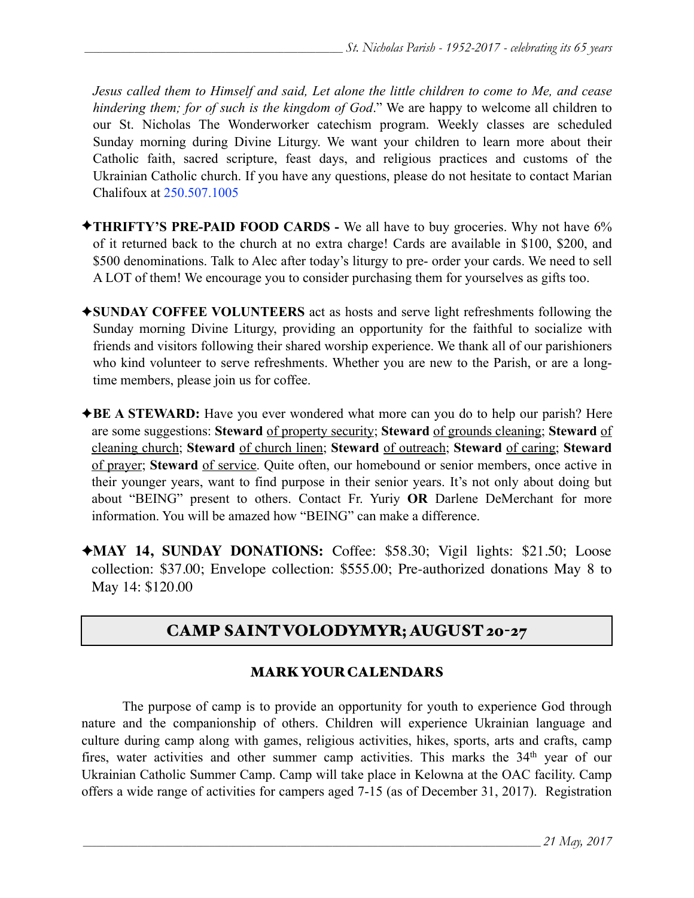*Jesus called them to Himself and said, Let alone the little children to come to Me, and cease hindering them; for of such is the kingdom of God*." We are happy to welcome all children to our St. Nicholas The Wonderworker catechism program. Weekly classes are scheduled Sunday morning during Divine Liturgy. We want your children to learn more about their Catholic faith, sacred scripture, feast days, and religious practices and customs of the Ukrainian Catholic church. If you have any questions, please do not hesitate to contact Marian Chalifoux at 250.507.1005

- ✦**THRIFTY'S PRE-PAID FOOD CARDS** We all have to buy groceries. Why not have 6% of it returned back to the church at no extra charge! Cards are available in \$100, \$200, and \$500 denominations. Talk to Alec after today's liturgy to pre- order your cards. We need to sell A LOT of them! We encourage you to consider purchasing them for yourselves as gifts too.
- ✦**SUNDAY COFFEE VOLUNTEERS** act as hosts and serve light refreshments following the Sunday morning Divine Liturgy, providing an opportunity for the faithful to socialize with friends and visitors following their shared worship experience. We thank all of our parishioners who kind volunteer to serve refreshments. Whether you are new to the Parish, or are a longtime members, please join us for coffee.
- ◆**BE A STEWARD:** Have you ever wondered what more can you do to help our parish? Here are some suggestions: **Steward** of property security; **Steward** of grounds cleaning; **Steward** of cleaning church; **Steward** of church linen; **Steward** of outreach; **Steward** of caring; **Steward** of prayer; **Steward** of service. Quite often, our homebound or senior members, once active in their younger years, want to find purpose in their senior years. It's not only about doing but about "BEING" present to others. Contact Fr. Yuriy **OR** Darlene DeMerchant for more information. You will be amazed how "BEING" can make a difference.
- ✦**MAY 14, SUNDAY DONATIONS:** Coffee: \$58.30; Vigil lights: \$21.50; Loose collection: \$37.00; Envelope collection: \$555.00; Pre-authorized donations May 8 to May 14: \$120.00

# CAMP SAINT VOLODYMYR; AUGUST 20-27

### MARK YOUR CALENDARS

 The purpose of camp is to provide an opportunity for youth to experience God through nature and the companionship of others. Children will experience Ukrainian language and culture during camp along with games, religious activities, hikes, sports, arts and crafts, camp fires, water activities and other summer camp activities. This marks the 34<sup>th</sup> year of our Ukrainian Catholic Summer Camp. Camp will take place in Kelowna at the OAC facility. Camp offers a wide range of activities for campers aged 7-15 (as of December 31, 2017). Registration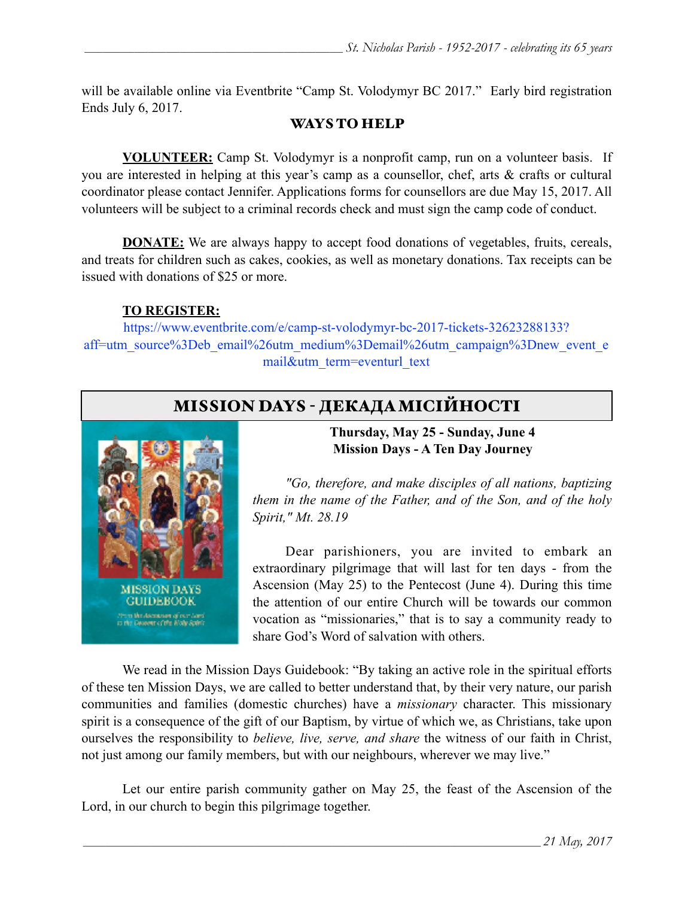will be available online via Eventbrite "Camp St. Volodymyr BC 2017." Early bird registration Ends July 6, 2017.

### WAYS TO HELP

**VOLUNTEER:** Camp St. Volodymyr is a nonprofit camp, run on a volunteer basis. If you are interested in helping at this year's camp as a counsellor, chef, arts & crafts or cultural coordinator please contact Jennifer. Applications forms for counsellors are due May 15, 2017. All volunteers will be subject to a criminal records check and must sign the camp code of conduct.

**DONATE:** We are always happy to accept food donations of vegetables, fruits, cereals, and treats for children such as cakes, cookies, as well as monetary donations. Tax receipts can be issued with donations of \$25 or more.

### **TO REGISTER:**

[https://www.eventbrite.com/e/camp-st-volodymyr-bc-2017-tickets-32623288133?](https://www.eventbrite.com/e/camp-st-volodymyr-bc-2017-tickets-32623288133?aff=utm_source%3Deb_email%26utm_medium%3Demail%26utm_campaign%3Dnew_event_email&utm_term=eventurl_text) [aff=utm\\_source%3Deb\\_email%26utm\\_medium%3Demail%26utm\\_campaign%3Dnew\\_event\\_e](https://www.eventbrite.com/e/camp-st-volodymyr-bc-2017-tickets-32623288133?aff=utm_source%3Deb_email%26utm_medium%3Demail%26utm_campaign%3Dnew_event_email&utm_term=eventurl_text) [mail&utm\\_term=eventurl\\_text](https://www.eventbrite.com/e/camp-st-volodymyr-bc-2017-tickets-32623288133?aff=utm_source%3Deb_email%26utm_medium%3Demail%26utm_campaign%3Dnew_event_email&utm_term=eventurl_text)

# MISSION DAYS - ДЕКАДАМІСІЙНОСТІ



**Thursday, May 25 - Sunday, June 4 Mission Days - A Ten Day Journey** 

 *"Go, therefore, and make disciples of all nations, baptizing them in the name of the Father, and of the Son, and of the holy Spirit," Mt. 28.19* 

 Dear parishioners, you are invited to embark an extraordinary pilgrimage that will last for ten days - from the Ascension (May 25) to the Pentecost (June 4). During this time the attention of our entire Church will be towards our common vocation as "missionaries," that is to say a community ready to share God's Word of salvation with others.

 We read in the Mission Days Guidebook: "By taking an active role in the spiritual efforts of these ten Mission Days, we are called to better understand that, by their very nature, our parish communities and families (domestic churches) have a *missionary* character. This missionary spirit is a consequence of the gift of our Baptism, by virtue of which we, as Christians, take upon ourselves the responsibility to *believe, live, serve, and share* the witness of our faith in Christ, not just among our family members, but with our neighbours, wherever we may live."

 Let our entire parish community gather on May 25, the feast of the Ascension of the Lord, in our church to begin this pilgrimage together.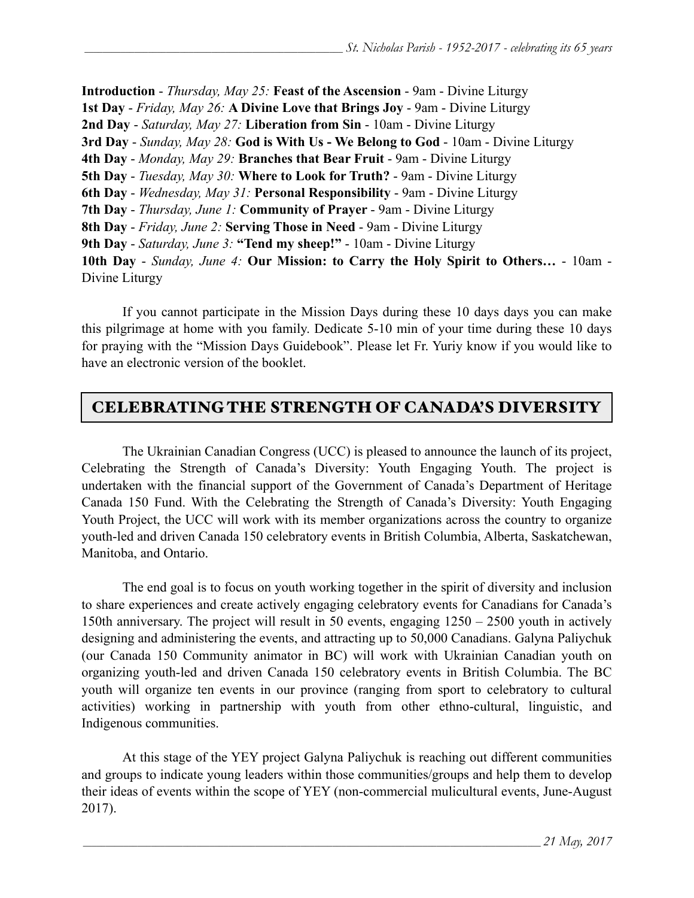**Introduction** - *Thursday, May 25:* **Feast of the Ascension** - 9am - Divine Liturgy **1st Day** - *Friday, May 26:* **A Divine Love that Brings Joy** - 9am - Divine Liturgy **2nd Day** - *Saturday, May 27:* **Liberation from Sin** - 10am - Divine Liturgy **3rd Day** - *Sunday, May 28:* **God is With Us - We Belong to God** - 10am - Divine Liturgy **4th Day** - *Monday, May 29:* **Branches that Bear Fruit** - 9am - Divine Liturgy **5th Day** - *Tuesday, May 30:* **Where to Look for Truth?** - 9am - Divine Liturgy **6th Day** - *Wednesday, May 31:* **Personal Responsibility** - 9am - Divine Liturgy **7th Day** - *Thursday, June 1:* **Community of Prayer** - 9am - Divine Liturgy **8th Day** - *Friday, June 2:* **Serving Those in Need** - 9am - Divine Liturgy **9th Day** - *Saturday, June 3:* **"Tend my sheep!"** - 10am - Divine Liturgy **10th Day** - *Sunday, June 4:* **Our Mission: to Carry the Holy Spirit to Others…** - 10am - Divine Liturgy

 If you cannot participate in the Mission Days during these 10 days days you can make this pilgrimage at home with you family. Dedicate 5-10 min of your time during these 10 days for praying with the "Mission Days Guidebook". Please let Fr. Yuriy know if you would like to have an electronic version of the booklet.

## CELEBRATING THE STRENGTH OF CANADA'S DIVERSITY

 The Ukrainian Canadian Congress (UCC) is pleased to announce the launch of its project, Celebrating the Strength of Canada's Diversity: Youth Engaging Youth. The project is undertaken with the financial support of the Government of Canada's Department of Heritage Canada 150 Fund. With the Celebrating the Strength of Canada's Diversity: Youth Engaging Youth Project, the UCC will work with its member organizations across the country to organize youth-led and driven Canada 150 celebratory events in British Columbia, Alberta, Saskatchewan, Manitoba, and Ontario.

 The end goal is to focus on youth working together in the spirit of diversity and inclusion to share experiences and create actively engaging celebratory events for Canadians for Canada's 150th anniversary. The project will result in 50 events, engaging 1250 – 2500 youth in actively designing and administering the events, and attracting up to 50,000 Canadians. Galyna Paliychuk (our Canada 150 Community animator in BC) will work with Ukrainian Canadian youth on organizing youth-led and driven Canada 150 celebratory events in British Columbia. The BC youth will organize ten events in our province (ranging from sport to celebratory to cultural activities) working in partnership with youth from other ethno-cultural, linguistic, and Indigenous communities.

 At this stage of the YEY project Galyna Paliychuk is reaching out different communities and groups to indicate young leaders within those communities/groups and help them to develop their ideas of events within the scope of YEY (non-commercial mulicultural events, June-August 2017).